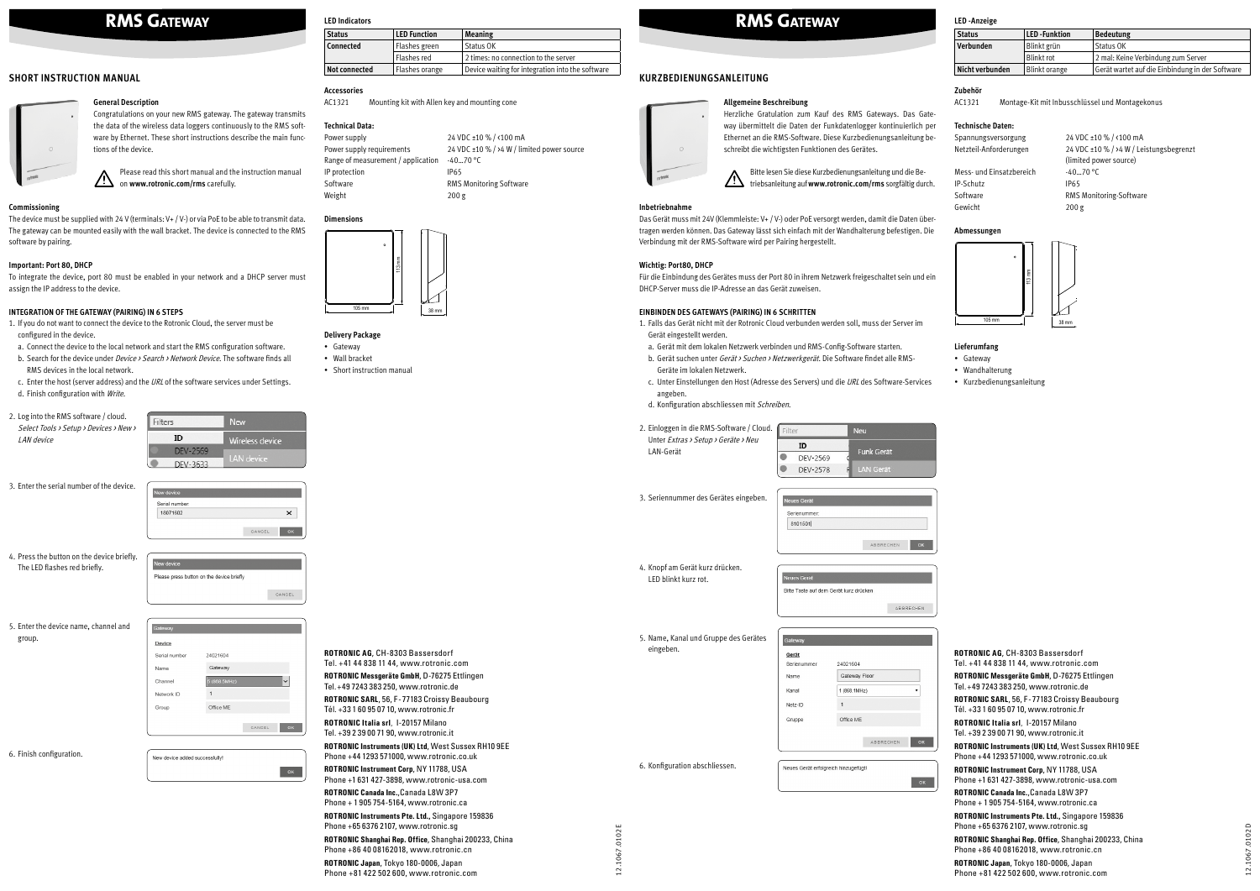**ROTRONIC AG**, CH-8303 Bassersdorf Tel. +41 44 838 11 44, www.rotronic.com **ROTRONIC Messgeräte GmbH**, D-76275 Ettlingen Tel.+49 7243 383 250, www.rotronic.de **ROTRONIC SARL**, 56, F-77183 Croissy Beaubourg Tél. +33 1 60 95 07 10, www.rotronic.fr **ROTRONIC Italia srl**, I-20157 Milano Tel. +39 2 39 00 71 90, www.rotronic.it **ROTRONIC Instruments (UK) Ltd**, West Sussex RH10 9EE Phone +44 1293 571000, www.rotronic.co.uk **ROTRONIC Instrument Corp**, NY 11788, USA Phone +1 631 427-3898, www.rotronic-usa.com **ROTRONIC Canada Inc.**,Canada L8W 3P7 Phone + 1 905 754-5164, www.rotronic.ca **ROTRONIC Instruments Pte. Ltd.,** Singapore 159836 Phone +65 6376 2107, www.rotronic.sg **ROTRONIC Shanghai Rep. Office**, Shanghai 200233, China Phone +86 40 08162018, www.rotronic.cn **ROTRONIC Japan**, Tokyo 180-0006, Japan Phone +81 422 502 600, www.rotronic.com

12.1067.0102E 12.1067.0102E



**ROTRONIC AG**, CH-8303 Bassersdorf

Tel. +41 44 838 11 44, www.rotronic.com **ROTRONIC Messgeräte GmbH**, D-76275 Ettlingen Tel.+49 7243 383 250, www.rotronic.de

Please read this short manual and the instruction manual **11** on www.rotronic.com/rms carefully.

> **ROTRONIC SARL**, 56, F-77183 Croissy Beaubourg Tél. +33 1 60 95 07 10, www.rotronic.fr **ROTRONIC Italia srl**, I-20157 Milano

Tel. +39 2 39 00 71 90, www.rotronic.it **ROTRONIC Instruments (UK) Ltd**, West Sussex RH10 9EE Phone +44 1293 571000, www.rotronic.co.uk

- 1. If you do not want to connect the device to the Rotronic Cloud, the server must be configured in the device.
- a. Connect the device to the local network and start the RMS configuration software.
- b. Search for the device under *Device > Search > Network Device*. The software finds all RMS devices in the local network.
- c. Enter the host (server address) and the URL of the software services under Settings. d. Finish configuration with Write.
- 
- 2. Log into the RMS software / cloud. Filters Select Tools > Setup > Devices > New > ID *l*ireless device LAN device DEV-2569 DEV-3633

**ROTRONIC Instrument Corp**, NY 11788, USA Phone +1 631 427-3898, www.rotronic-usa.com

**ROTRONIC Canada Inc.**,Canada L8W 3P7 Phone + 1 905 754-5164, www.rotronic.ca

**ROTRONIC Instruments Pte. Ltd.,** Singapore 159836 Phone +65 6376 2107, www.rotronic.sg

**ROTRONIC Shanghai Rep. Office**, Shanghai 200233, China Phone +86 40 08162018, www.rotronic.cn

**ROTRONIC Japan**, Tokyo 180-0006, Japan Phone +81 422 502 600, www.rotronic.com

# **SHORT INSTRUCTION MANUAL**

#### **General Description**



Congratulations on your new RMS gateway. The gateway transmits the data of the wireless data loggers continuously to the RMS software by Ethernet. These short instructions describe the main functions of the device.

### **Commissioning**

The device must be supplied with 24 V (terminals: V+ / V-) or via PoE to be able to transmit data. The gateway can be mounted easily with the wall bracket. The device is connected to the RMS software by pairing.

## **Important: Port 80, DHCP**

To integrate the device, port 80 must be enabled in your network and a DHCP server must assign the IP address to the device.

#### **INTEGRATION OF THE GATEWAY (PAIRING) IN 6 STEPS**

- Gateway
- Wall bracket • Short instruction manual

Mess- und Einsatzbereich -40...70 °C IP-Schutz IP65 Gewicht 200 g

24 VDC ±10 % / <100 mA 24 VDC ±10 % / >4 W / Leistungsbegrenzt (limited power source) Software **RMS Monitoring-Software** 

3. Enter the serial number of the device.



4. Press the button on the device briefly. The LED flashes red briefly.



5. Enter the device name, channel and group.

| Desice        |                              |
|---------------|------------------------------|
| Serial number | 24021604                     |
| Name          | Gateway                      |
| Channel       | 5 (868.5MHz)<br>$\checkmark$ |
| Network ID    |                              |
| Group         | Office ME                    |
|               |                              |
|               | OK<br>CANCEL                 |
|               |                              |

6. Finish configuration.

| New device added successfully! |  |
|--------------------------------|--|
|                                |  |
|                                |  |

# **KURZBEDIENUNGSANLEITUNG**

## **Allgemeine Beschreibung**



Herzliche Gratulation zum Kauf des RMS Gateways. Das Gateway übermittelt die Daten der Funkdatenlogger kontinuierlich per Ethernet an die RMS-Software. Diese Kurzbedienungsanleitung beschreibt die wichtigsten Funktionen des Gerätes.

Bitte lesen Sie diese Kurzbedienungsanleitung und die Betriebsanleitung auf **www.rotronic.com/rms** sorgfältig durch.

#### **Inbetriebnahme**

Das Gerät muss mit 24V (Klemmleiste: V+ / V-) oder PoE versorgt werden, damit die Daten übertragen werden können. Das Gateway lässt sich einfach mit der Wandhalterung befestigen. Die Verbindung mit der RMS-Software wird per Pairing hergestellt.

#### **Wichtig: Port80, DHCP**

Für die Einbindung des Gerätes muss der Port 80 in ihrem Netzwerk freigeschaltet sein und ein DHCP-Server muss die IP-Adresse an das Gerät zuweisen.

#### **EINBINDEN DES GATEWAYS (PAIRING) IN 6 SCHRITTEN**

- 1. Falls das Gerät nicht mit der Rotronic Cloud verbunden werden soll, muss der Server im Gerät eingestellt werden.
- a. Gerät mit dem lokalen Netzwerk verbinden und RMS-Config-Software starten.
- b. Gerät suchen unter Gerät > Suchen > Netzwerkgerät. Die Software findet alle RMS-Geräte im lokalen Netzwerk.
- c. Unter Einstellungen den Host (Adresse des Servers) und die URL des Software-Services angeben.
- d. Konfiguration abschliessen mit Schreiben.
- 2. Einloggen in die RMS-Software / Cloud. Unter Extras > Setup > Geräte > Neu LAN-Gerät

| Filter |          | <b>Neu</b>        |
|--------|----------|-------------------|
|        | ID       |                   |
|        | DEV-2569 | <b>Funk Gerät</b> |
|        | DEV-2578 | <b>LAN Gerät</b>  |

3. Seriennummer des Gerätes eingeben.



4. Knopf am Gerät kurz drücken. LED blinkt kurz rot.

Bitte Taste auf dem Gerät kurz drücken ABBRECHEN

5. Name, Kanal und Gruppe des Gerätes eingeben.



 $OK$ 

6. Konfiguration abschliessen.

Neues Gerät erfolgreich hinzugefügt!

## **LED Indicators**

| <b>Status</b>        | <b>LED Function</b> | <b>Meaning</b>                                   |
|----------------------|---------------------|--------------------------------------------------|
| <b>Connected</b>     | Flashes green       | Status OK                                        |
|                      | Flashes red         | 2 times: no connection to the server             |
| <b>Not connected</b> | Flashes orange      | Device waiting for integration into the software |
|                      |                     |                                                  |

# **Accessories**

AC1321 Mounting kit with Allen key and mounting cone

## **Technical Data:**

| Power supply                       | 24 VDC ±10 % / <100 mA                     |
|------------------------------------|--------------------------------------------|
| Power supply requirements          | 24 VDC ±10 % / >4 W / limited power source |
| Range of measurement / application | $-4070 °C$                                 |
| IP protection                      | <b>IP65</b>                                |
| Software                           | <b>RMS Monitoring Software</b>             |
| Weight                             | 200g                                       |

#### **Dimensions**

## **Delivery Package**

## **LED -Anzeige**

| Status          | <b>LED</b> - Funktion | <b>Bedeutung</b>                                |
|-----------------|-----------------------|-------------------------------------------------|
| Verbunden       | Blinkt grün           | Status OK                                       |
|                 | Blinkt rot            | 2 mal: Keine Verbindung zum Server              |
| Nicht verbunden | Blinkt orange         | Gerät wartet auf die Einbindung in der Software |

## **Zubehör**

AC1321 Montage-Kit mit Inbusschlüssel und Montagekonus

## **Technische Daten:**

| Spannungsversorgung    |
|------------------------|
| Netzteil-Anforderungen |

## **Abmessungen**

## **Lieferumfang**

- Gateway
- Wandhalterung
- Kurzbedienungsanleitung